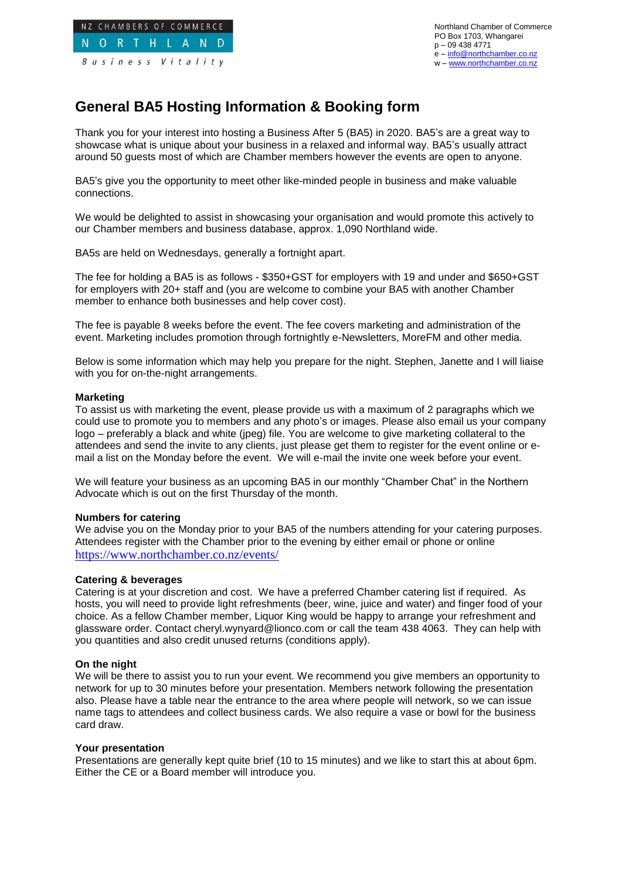

Northland Chamber of Commerce PO Box 1703, Whangarei p – 09 438 4771 e – [info@northchamber.co.nz](mailto:info@northchamber.co.nz) w – [www.northchamber.co.nz](http://www.northchamber.co.nz/)

# **General BA5 Hosting Information & Booking form**

Thank you for your interest into hosting a Business After 5 (BA5) in 2020. BA5's are a great way to showcase what is unique about your business in a relaxed and informal way. BA5's usually attract around 50 guests most of which are Chamber members however the events are open to anyone.

BA5's give you the opportunity to meet other like-minded people in business and make valuable connections.

We would be delighted to assist in showcasing your organisation and would promote this actively to our Chamber members and business database, approx. 1,090 Northland wide.

BA5s are held on Wednesdays, generally a fortnight apart.

The fee for holding a BA5 is as follows - \$350+GST for employers with 19 and under and \$650+GST for employers with 20+ staff and (you are welcome to combine your BA5 with another Chamber member to enhance both businesses and help cover cost).

The fee is payable 8 weeks before the event. The fee covers marketing and administration of the event. Marketing includes promotion through fortnightly e-Newsletters, MoreFM and other media.

Below is some information which may help you prepare for the night. Stephen, Janette and I will liaise with you for on-the-night arrangements.

## **Marketing**

To assist us with marketing the event, please provide us with a maximum of 2 paragraphs which we could use to promote you to members and any photo's or images. Please also email us your company logo – preferably a black and white (jpeg) file. You are welcome to give marketing collateral to the attendees and send the invite to any clients, just please get them to register for the event online or email a list on the Monday before the event. We will e-mail the invite one week before your event.

We will feature your business as an upcoming BA5 in our monthly "Chamber Chat" in the Northern Advocate which is out on the first Thursday of the month.

#### **Numbers for catering**

We advise you on the Monday prior to your BA5 of the numbers attending for your catering purposes. Attendees register with the Chamber prior to the evening by either email or phone or online <https://www.northchamber.co.nz/events/>

#### **Catering & beverages**

Catering is at your discretion and cost. We have a preferred Chamber catering list if required. As hosts, you will need to provide light refreshments (beer, wine, juice and water) and finger food of your choice. As a fellow Chamber member, Liquor King would be happy to arrange your refreshment and glassware order. Contact cheryl.wynyard@lionco.com or call the team 438 4063. They can help with you quantities and also credit unused returns (conditions apply).

## **On the night**

We will be there to assist you to run your event. We recommend you give members an opportunity to network for up to 30 minutes before your presentation. Members network following the presentation also. Please have a table near the entrance to the area where people will network, so we can issue name tags to attendees and collect business cards. We also require a vase or bowl for the business card draw.

#### **Your presentation**

Presentations are generally kept quite brief (10 to 15 minutes) and we like to start this at about 6pm. Either the CE or a Board member will introduce you.